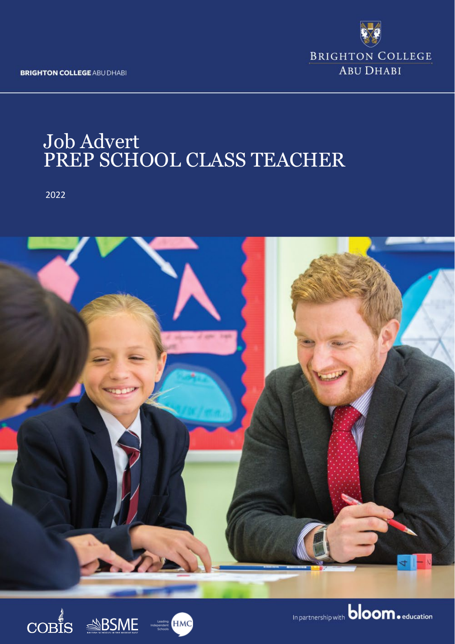**BRIGHTON COLLEGE ABU DHABI** 



# Job Advert PREP SCHOOL CLASS TEACHER

2022



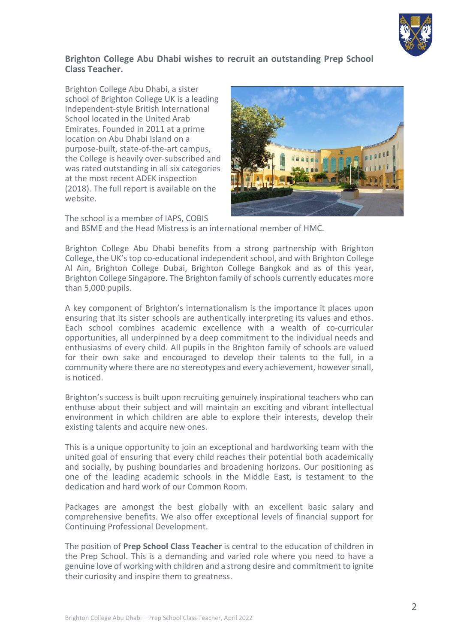

# **Brighton College Abu Dhabi wishes to recruit an outstanding Prep School Class Teacher.**

Brighton College Abu Dhabi, a sister school of Brighton College UK is a leading Independent-style British International School located in the United Arab Emirates. Founded in 2011 at a prime location on Abu Dhabi Island on a purpose-built, state-of-the-art campus, the College is heavily over-subscribed and was rated outstanding in all six categories at the most recent ADEK inspection (2018). The full report is available on the website.

The school is a member of IAPS, COBIS



and BSME and the Head Mistress is an international member of HMC.

Brighton College Abu Dhabi benefits from a strong partnership with Brighton College, the UK's top co-educational independent school, and with Brighton College Al Ain, Brighton College Dubai, Brighton College Bangkok and as of this year, Brighton College Singapore. The Brighton family of schools currently educates more than 5,000 pupils.

A key component of Brighton's internationalism is the importance it places upon ensuring that its sister schools are authentically interpreting its values and ethos. Each school combines academic excellence with a wealth of co-curricular opportunities, all underpinned by a deep commitment to the individual needs and enthusiasms of every child. All pupils in the Brighton family of schools are valued for their own sake and encouraged to develop their talents to the full, in a community where there are no stereotypes and every achievement, however small, is noticed.

Brighton's success is built upon recruiting genuinely inspirational teachers who can enthuse about their subject and will maintain an exciting and vibrant intellectual environment in which children are able to explore their interests, develop their existing talents and acquire new ones.

This is a unique opportunity to join an exceptional and hardworking team with the united goal of ensuring that every child reaches their potential both academically and socially, by pushing boundaries and broadening horizons. Our positioning as one of the leading academic schools in the Middle East, is testament to the dedication and hard work of our Common Room.

Packages are amongst the best globally with an excellent basic salary and comprehensive benefits. We also offer exceptional levels of financial support for Continuing Professional Development.

The position of **Prep School Class Teacher** is central to the education of children in the Prep School. This is a demanding and varied role where you need to have a genuine love of working with children and a strong desire and commitment to ignite their curiosity and inspire them to greatness.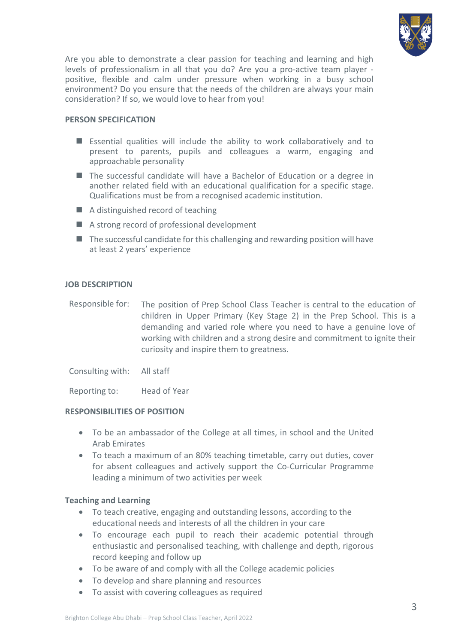

Are you able to demonstrate a clear passion for teaching and learning and high levels of professionalism in all that you do? Are you a pro-active team player positive, flexible and calm under pressure when working in a busy school environment? Do you ensure that the needs of the children are always your main consideration? If so, we would love to hear from you!

## **PERSON SPECIFICATION**

- Essential qualities will include the ability to work collaboratively and to present to parents, pupils and colleagues a warm, engaging and approachable personality
- The successful candidate will have a Bachelor of Education or a degree in another related field with an educational qualification for a specific stage. Qualifications must be from a recognised academic institution.
- A distinguished record of teaching
- A strong record of professional development
- $\blacksquare$  The successful candidate for this challenging and rewarding position will have at least 2 years' experience

### **JOB DESCRIPTION**

Responsible for: The position of Prep School Class Teacher is central to the education of children in Upper Primary (Key Stage 2) in the Prep School. This is a demanding and varied role where you need to have a genuine love of working with children and a strong desire and commitment to ignite their curiosity and inspire them to greatness.

Consulting with: All staff

Reporting to: Head of Year

### **RESPONSIBILITIES OF POSITION**

- To be an ambassador of the College at all times, in school and the United Arab Emirates
- To teach a maximum of an 80% teaching timetable, carry out duties, cover for absent colleagues and actively support the Co-Curricular Programme leading a minimum of two activities per week

### **Teaching and Learning**

- To teach creative, engaging and outstanding lessons, according to the educational needs and interests of all the children in your care
- To encourage each pupil to reach their academic potential through enthusiastic and personalised teaching, with challenge and depth, rigorous record keeping and follow up
- To be aware of and comply with all the College academic policies
- To develop and share planning and resources
- To assist with covering colleagues as required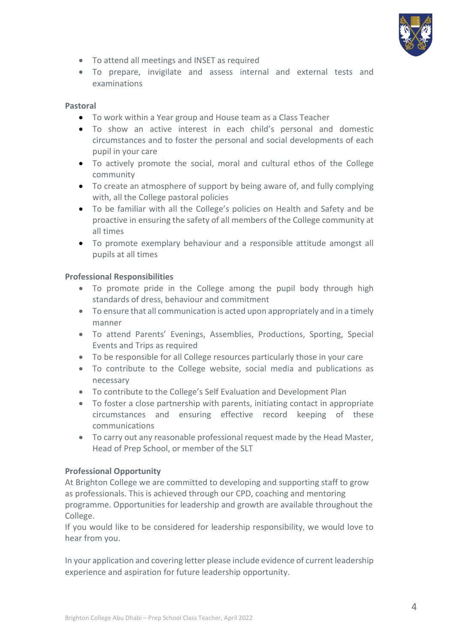

- To attend all meetings and INSET as required
- To prepare, invigilate and assess internal and external tests and examinations

### **Pastoral**

- To work within a Year group and House team as a Class Teacher
- To show an active interest in each child's personal and domestic circumstances and to foster the personal and social developments of each pupil in your care
- To actively promote the social, moral and cultural ethos of the College community
- To create an atmosphere of support by being aware of, and fully complying with, all the College pastoral policies
- To be familiar with all the College's policies on Health and Safety and be proactive in ensuring the safety of all members of the College community at all times
- To promote exemplary behaviour and a responsible attitude amongst all pupils at all times

## **Professional Responsibilities**

- To promote pride in the College among the pupil body through high standards of dress, behaviour and commitment
- To ensure that all communication is acted upon appropriately and in a timely manner
- To attend Parents' Evenings, Assemblies, Productions, Sporting, Special Events and Trips as required
- To be responsible for all College resources particularly those in your care
- To contribute to the College website, social media and publications as necessary
- To contribute to the College's Self Evaluation and Development Plan
- To foster a close partnership with parents, initiating contact in appropriate circumstances and ensuring effective record keeping of these communications
- To carry out any reasonable professional request made by the Head Master, Head of Prep School, or member of the SLT

### **Professional Opportunity**

At Brighton College we are committed to developing and supporting staff to grow as professionals. This is achieved through our CPD, coaching and mentoring programme. Opportunities for leadership and growth are available throughout the College.

If you would like to be considered for leadership responsibility, we would love to hear from you.

In your application and covering letter please include evidence of current leadership experience and aspiration for future leadership opportunity.